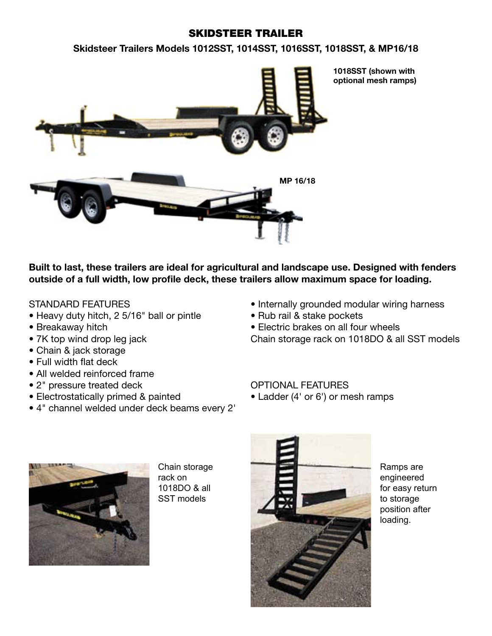## SKIDSTEER TRAILER

**Skidsteer Trailers Models 1012SST, 1014SST, 1016SST, 1018SST, & MP16/18**



**Built to last, these trailers are ideal for agricultural and landscape use. Designed with fenders**  outside of a full width, low profile deck, these trailers allow maximum space for loading.

## STANDARD FEATURES

- Heavy duty hitch, 2 5/16" ball or pintle
- Breakaway hitch
- 7K top wind drop leg jack
- Chain & jack storage
- $\bullet$  Full width flat deck
- All welded reinforced frame
- 2" pressure treated deck
- Electrostatically primed & painted
- 4" channel welded under deck beams every 2'
- Internally grounded modular wiring harness
- Rub rail & stake pockets

• Electric brakes on all four wheels Chain storage rack on 1018DO & all SST models

## OPTIONAL FEATURES

• Ladder (4' or 6') or mesh ramps



Chain storage rack on 1018DO & all SST models



Ramps are engineered for easy return to storage position after loading.